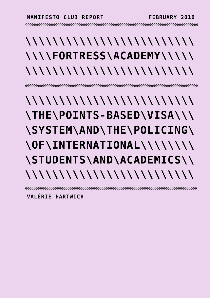# **Valérie Hartwich**

# **\\\\\\\\\\\\\\\\\\\\\\\\\ \THE\POINTS-BASED\VISA\\\ \SYSTEM\AND\THE\POLICING\ \OF\INTERNATIONAL\\\\\\\\ \STUDENTS\AND\ACADEMICS\\ \\\\\\\\\\\\\\\\\\\\\\\\\**

**\\\\\\\\\\\\\\\\\\\\\\\\\ \\\\FORTRESS\ACADEMY\\\\\ \\\\\\\\\\\\\\\\\\\\\\\\\**

**manifesto club report february 2010**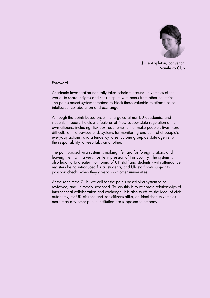

Josie Appleton, convenor, Manifesto Club

### Foreword

Academic investigation naturally takes scholars around universities of the world, to share insights and seek dispute with peers from other countries. The points-based system threatens to block these valuable relationships of intellectual collaboration and exchange.

Although the points-based system is targeted at non-EU academics and students, it bears the classic features of New Labour state regulation of its own citizens, including: tick-box requirements that make people's lives more difficult, to little obvious end; systems for monitoring and control of people's everyday actions; and a tendency to set up one group as state agents, with the responsibility to keep tabs on another.

The points-based visa system is making life hard for foreign visitors, and leaving them with a very hostile impression of this country. The system is also leading to greater monitoring of UK staff and students - with attendance registers being introduced for all students, and UK staff now subject to passport checks when they give talks at other universities.

At the Manifesto Club, we call for the points-based visa system to be reviewed, and ultimately scrapped. To say this is to celebrate relationships of international collaboration and exchange. It is also to affirm the ideal of civic autonomy, for UK citizens and non-citizens alike, an ideal that universities more than any other public institution are supposed to embody.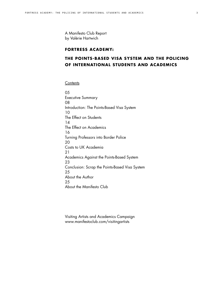A Manifesto Club Report by Valérie Hartwich

### **Fortress Academy:**

# **THE POINTS-BASED VISA SYSTEM AND THE POLICING of International Students and Academics**

#### **Contents**

05 Executive Summary 08 Introduction: The Points-Based Visa System 10 The Effect on Students 14 The Effect on Academics 16 Turning Professors into Border Police 20 Costs to UK Academia 21 Academics Against the Points-Based System 23 Conclusion: Scrap the Points-Based Visa System 25 About the Author 25 About the Manifesto Club

Visiting Artists and Academics Campaign www.manifestoclub.com/visitingartists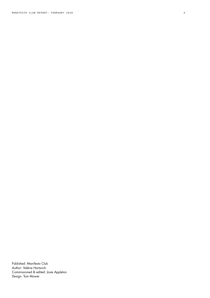MANIFESTO CLUB REPORT: FEBRUARY 2010 4

Published: Manifesto Club Author: Valérie Hartwich Commissioned & edited: Josie Appleton Design: Tom Mower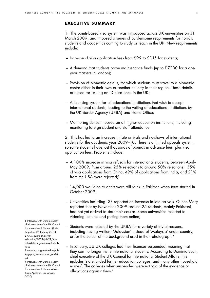#### **EXECUTIVE SUMMARY**

1. The points-based visa system was introduced across UK universities on 31 March 2009, and imposed a series of burdensome requirements for non-EU students and academics coming to study or teach in the UK. New requirements include:

- Increase of visa application fees from £99 to £145 for students;
- A demand that students prove maintenance funds (up to £7200 for a oneyear masters in London);
- Provision of biometric details, for which students must travel to a biometric centre either in their own or another country in their region. These details are used for issuing an ID card once in the UK;
- A licensing system for all educational institutions that wish to accept international students, leading to the vetting of educational institutions by the UK Border Agency (UKBA) and Home Office;
- Monitoring duties imposed on all higher education institutions, including monitoring foreign student and staff attendance.

2. This has led to an increase in late arrivals and no-shows of international students for the academic year 2009–10. There is a limited appeals system, so some students have lost thousands of pounds in advance fees, plus visa application fees. Problems include:

- A 100% increase in visa refusals for international students, between April– May 2009, from around 25% rejections to around 50% rejections.<sup>1</sup> 35% of visa applications from China, 49% of applications from India, and 21% from the USA were rejected:<sup>2</sup>
- 14,000 would-be students were still stuck in Pakistan when term started in October 2009;
- Universities including LSE reported an increase in late arrivals. Queen Mary reported that by November 2009 around 25 students, mainly Pakistani, had not yet arrived to start their course. Some universities resorted to videoing lectures and putting them online;
- Students were rejected by the UKBA for a variety of trivial reasons, including having written 'Malaysian' instead of 'Malaysia' under country, or for the colour of the background used in their photograph.<sup>3</sup>
- In January, 56 UK colleges had their licences suspended, meaning that they can no longer invite international students. According to Dominic Scott, chief executive of the UK Council for International Student Affairs, this includes 'state-funded further education colleges, and many other household names'. The colleges when suspended were not told of the evidence or allegations against them.4

1 Interview with Dominic Scott chief executive of the UK Council for International Students (Josie Appleton, 26 January 2010) 2 www.guardian.co.uk/ education/2009/jul/21/visarules-deterring-overseas-studentsto-uk

3 www.ucu.org.uk/media/pdf/ k/g/pbs\_seminarreport\_apr09. pdf

4 Interview with Dominic Scott, chief executive of the UK Council for International Student Affairs (Josie Appleton, 26 January 2010)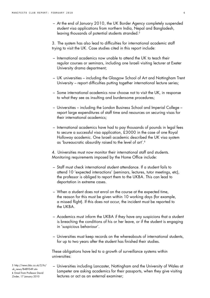– At the end of January 2010, the UK Border Agency completely suspended student visa applications from northern India, Nepal and Bangladesh, leaving thousands of potential students stranded.<sup>5</sup>

3. The system has also lead to difficulties for international academic staff trying to visit the UK. Case studies cited in this report include:

- International academics now unable to attend the UK to teach their regular courses or seminars, including one Israeli visiting lecturer at Exeter University drama department;
- UK universities including the Glasgow School of Art and Nottingham Trent University – report difficulties putting together international lecture series;
- Some international academics now choose not to visit the UK, in response to what they see as insulting and burdensome procedures;
- Universities including the London Business School and Imperial College report large expenditures of staff time and resources on securing visas for their international academics;
- International academics have had to pay thousands of pounds in legal fees to secure a successful visa application, £3000 in the case of one Royal Holloway academic. One Israeli academic described the UK visa system as 'bureaucratic absurdity raised to the level of art'.6

4. Universities must now monitor their international staff and students. Monitoring requirements imposed by the Home Office include:

- Staff must check international student attendance. If a student fails to attend 10 'expected interactions' (seminars, lectures, tutor meetings, etc), the professor is obliged to report them to the UKBA. This can lead to deportation in extreme cases.
- When a student does not enrol on the course at the expected time, the reason for this must be given within 10 working days (for example, a missed flight). If this does not occur, the incident must be reported to the UKBA.
- Academics must inform the UKBA if they have any suspicions that a student is breaching the conditions of his or her leave, or if the student is engaging in 'suspicious behaviour'.
- Universities must keep records on the whereabouts of international students, for up to two years after the student has finished their studies.

These obligations have led to a growth of surveillance systems within universities:

– Universities including Lancaster, Nottingham and the University of Wales at Lampeter are asking academics for their passports, when they give visiting lectures or act as an external examiner;

5 http://news.bbc.co.uk/2/hi/ uk\_news/8489349.stm 6 Email from Professor David Zinder, 17 January 2010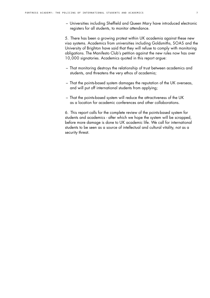– Universities including Sheffield and Queen Mary have introduced electronic registers for all students, to monitor attendance.

5. There has been a growing protest within UK academia against these new visa systems. Academics from universities including Goldsmiths, SOAS and the University of Brighton have said that they will refuse to comply with monitoring obligations. The Manifesto Club's petition against the new rules now has over 10,000 signatories. Academics quoted in this report argue:

- That monitoring destroys the relationship of trust between academics and students, and threatens the very ethos of academia;
- That the points-based system damages the reputation of the UK overseas, and will put off international students from applying;
- That the points-based system will reduce the attractiveness of the UK as a location for academic conferences and other collaborations.

6. This report calls for the complete review of the points-based system for students and academics - after which we hope the system will be scrapped, before more damage is done to UK academic life. We call for international students to be seen as a source of intellectual and cultural vitality, not as a security threat.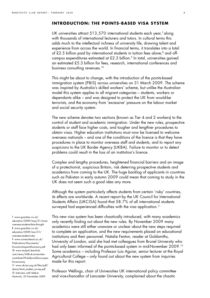#### **INTRODUCTION: THE POINTS-BASED VISA SYSTEM**

UK universities attract 513,570 international students each year,<sup>7</sup> along with thousands of international lecturers and tutors. In cultural terms this adds much to the intellectual richness of university life, drawing talent and experience from across the world. In financial terms, it translates into a total of £2.5 billion paid by international students in tuition fees alone, $8$  and offcampus expenditures estimated at £2.3 billion.<sup>9</sup> In total, universities gained an estimated £5.3 billion for fees, research, international conferences and business consulting revenues.<sup>10</sup>

This might be about to change, with the introduction of the points-based immigration system (PBIS) across universities on 31 March 2009. The scheme was inspired by Australia's skilled workers' scheme, but unlike the Australian model this system applies to all migrant categories – students, workers or dependants alike – and was designed to protect the UK from would-be terrorists, and the economy from 'excessive' pressure on the labour market and social security system.

The new scheme devotes two sections (known as Tier 4 and 2 workers) to the control of student and academic immigration. Under the new rules, prospective students or staff face higher costs, and tougher and lengthier procedures to obtain visas. Higher education institutions must now be licensed to welcome overseas nationals – and one of the conditions of the licence is that they have procedures in place to monitor overseas staff and students, and to report any suspicions to the UK Border Agency (UKBA). Failure to monitor or to detect problems could result in the loss of an institution's licence.

Complex and lengthy procedures, heightened financial barriers and an image of a protectionist, suspicious Britain, risk deterring prospective students and academics from coming to the UK. The huge backlog of applicants in countries such as Pakistan in early autumn 2009 could mean that coming to study in the UK does not seem such a good idea any more.

Although the system particularly affects students from certain 'risky' countries, its effects are worldwide. A recent report by the UK Council for International Students Affairs (UKCISA) found that 58.7% of all international students surveyed had experienced difficulties with the visa application.<sup>11</sup>

7 www.guardian.co.uk/ education/2009/may/21/moreoverseas-students-than-thought 8 www.guardian.co.uk/ education/2009/mar/31/ overseas-student-rules 9 www.universitiesuk.ac.uk/ Publications/Documents/ EconomicImpact4Summary.pdf 10 www.studyuk.learnhub. com/news/548-uk-universitiescontribute-99-dollars-billion-a-yearfor-economy 11 www.ukcisa.org.uk/files/pdf/

about/tier4\_student\_survey.pdf 12 Interview with Valérie Hartwich, 23 November 2009

This new visa system has been chaotically introduced, with many academics only recently finding out about the new rules. By November 2009 many academics were still either unaware or unclear about the new steps required to complete an application, and the new requirements placed on educational institutions and their personnel. Natalie Fenton, reader at Goldsmiths, University of London, said she had met colleagues from Brunel University who had only been informed of the points-based system in mid-November 2009. 12 Some academics – including Professor Luis Aguiar, senior lecturer at the Royal Agricultural College – only found out about the new system from inquiries made for this report.

Professor Wellings, chair of Universities UK international policy committee and vice-chancellor of Lancaster University, complained about the chaotic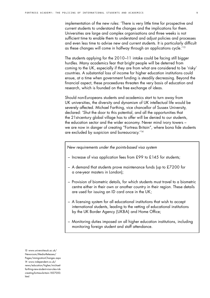implementation of the new rules: 'There is very little time for prospective and current students to understand the changes and the implications for them. Universities are large and complex organisations and three weeks is not sufficient time to enable them to understand and adjust policies and processes and even less time to advise new and current students. It is particularly difficult as these changes will come in halfway through an applications cycle.'13

The students applying for the 2010–11 intake could be facing still bigger hurdles. Many academics fear that bright people will be deterred from coming to the UK, especially if they are from what are considered to be 'risky' countries. A substantial loss of income for higher education institutions could ensue, at a time when government funding is steadily decreasing. Beyond the financial aspect, these proceedures threaten the very basis of education and research, which is founded on the free exchange of ideas.

Should non-Europeans students and academics start to turn away from UK universities, the diversity and dynamism of UK intellectual life would be severely affected. Michael Farthing, vice chancellor of Sussex University, declared: 'Shut the door to this potential, and all the opportunities that the 21st-century global village has to offer will be denied to our students, the education sector and the wider economy. Never mind ivory towers – we are now in danger of creating "Fortress Britain", where bona fide students are excluded by suspicion and bureaucracy.'14

*New requirements under the points-based visa system*

- Increase of visa application fees from £99 to £145 for students;
- A demand that students prove maintenance funds (up to £7200 for a one-year masters in London);
- Provision of biometric details, for which students must travel to a biometric centre either in their own or another country in their region. These details are used for issuing an ID card once in the UK;
- A licensing system for all educational institutions that wish to accept international students, leading to the vetting of educational institutions by the UK Border Agency (UKBA) and Home Office;
- Monitoring duties imposed on all higher education institutions, including monitoring foreign student and staff attendance.

13 www.universitiesuk.ac.uk/ Newsroom/Media-Releases/ Pages/immigrationChanges.aspx 14 www.independent.co.uk/ news/education/higher/michaelfarthing-new-student-visa-rules-riskcreating-fortress-britain-1837050. html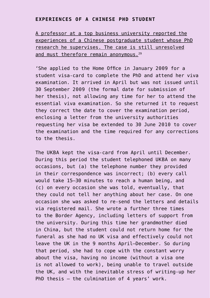#### **Experiences of a Chinese PHD Student**

A professor at a top business university reported the experiences of a Chinese postgraduate student whose PhD research he supervises. The case is still unresolved and must therefore remain anonymous.<sup>29</sup>

'She applied to the Home Office in January 2009 for a student visa-card to complete the PhD and attend her viva examination. It arrived in April but was not issued until 30 September 2009 (the formal date for submission of her thesis), not allowing any time for her to attend the essential viva examination. So she returned it to request they correct the date to cover the examination period, enclosing a letter from the university authorities requesting her visa be extended to 30 June 2010 to cover the examination and the time required for any corrections to the thesis.

The UKBA kept the visa-card from April until December. During this period the student telephoned UKBA on many occasions, but (a) the telephone number they provided in their correspondence was incorrect; (b) every call would take 15–30 minutes to reach a human being, and (c) on every occasion she was told, eventually, that they could not tell her anything about her case. On one occasion she was asked to re-send the letters and details via registered mail. She wrote a further three times to the Border Agency, including letters of support from the university. During this time her grandmother died in China, but the student could not return home for the funeral as she had no UK visa and effectively could not leave the UK in the 9 months April–December. So during that period, she had to cope with the constant worry about the visa, having no income (without a visa one is not allowed to work), being unable to travel outside the UK, and with the inevitable stress of writing-up her PhD thesis – the culmination of 4 years' work.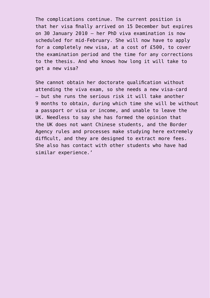The complications continue. The current position is that her visa finally arrived on 15 December but expires on 30 January 2010 – her PhD viva examination is now scheduled for mid-February. She will now have to apply for a completely new visa, at a cost of £500, to cover the examination period and the time for any corrections to the thesis. And who knows how long it will take to get a new visa?

She cannot obtain her doctorate qualification without attending the viva exam, so she needs a new visa-card – but she runs the serious risk it will take another 9 months to obtain, during which time she will be without a passport or visa or income, and unable to leave the UK. Needless to say she has formed the opinion that the UK does not want Chinese students, and the Border Agency rules and processes make studying here extremely difficult, and they are designed to extract more fees. She also has contact with other students who have had similar experience.'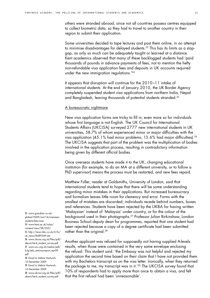others were stranded abroad, since not all countries possess centres equipped to collect biometric data, so they had to travel to another country in their region to submit their application.

Some universities decided to tape lectures and post them online, in an attempt to minimise disadvantages for delayed students.23 This has its limits as a stopgap, as only so much can be adequately taught or learned at a distance. Kent academics observed that many of these backlogged students had 'paid thousands of pounds in advance payments of fees, not to mention the hefty non-refundable visa application fees and deposits in UK accounts required under the new immigration regulations.'24

It appears that disruption will continue for the 2010–11 intake of international students. At the end of January 2010, the UK Border Agency completely suspended student visa applications from northern India, Nepal and Bangladesh, leaving thousands of potential students stranded.25

#### A bureaucratic nightmare

New visa application forms are tricky to fill in, even more so for individuals whose first language is not English. The UK Council for International Students Affairs (UKCISA) surveyed 2777 new international students in UK universities, 58.7% of whom experienced minor or major difficulties with the visa application (45.1% had minor problems; 13.6% had major difficulties).<sup>26</sup> The UKCISA suggests that part of the problem was the multiplication of bodies involved in the application process, resulting in contradictory information being given by different official bodies.

Once overseas students have made it to the UK, changing educational institution (for example, to do an MA at a different university, or to follow a PhD supervisor) means the process must be restarted, and new fees repaid.

Matthew Fuller, reader at Goldsmiths, University of London, said that international students tend to hope that there will be some understanding regarding minor mistakes in their applications. But increased bureaucracy and formalism leaves little room for clemency and error. Forms with the smallest of mistakes are discarded; individuals recede behind numbers, boxes and references. Students have been rejected by the UKBA for having written 'Malaysian' instead of 'Malaysia' under country, or for the colour of the background used in their photographs.27 Professor Julian Birkinshaw, London Business School deputy dean for programmes, reported that one student had been rejected because a copy of a degree certificate had been submitted rather than the original.<sup>28</sup>

Another applicant was refused for supposedly not having supplied A-levels results, when those were contained in the very same envelope enclosing the refusal. This student said: 'the Embassy was not helpful and rejected my application the second time based on their claim that I have not provided them with my Bachelors transcript as on the visa letter. Ironically, when they returned the package to me, my transcript was in it.'30 The UKCISA survey found that 10% of respondents had to apply more than once to obtain a visa, and felt that the first refusal had been 'unreasonable'.

23 www.guardian.co.uk/ global/2009/oct/14/overseasstudents-fees-visas 24 www.kent.ac.uk/nslsa/ content/view/58/255/ 25 http://news.bbc.co.uk/2/hi/ uk\_news/8489349.stm 26 www.ukcisa.org.uk/files/pdf/ about/tier4\_student\_survey.pdf 27 www.ucu.org.uk/media/pdf/ k/g/pbs\_seminarreport\_apr09. pdf 28 Email to Valérie Hartwich, 10 December 2009 29 Email to Valérie Hartwich,

16 December 2009 30 www.ukcisa.org.uk/files/pdf/ about/tier4\_student\_survey.pdf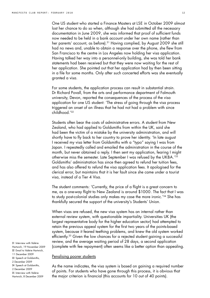One US student who started a Finance Masters at LSE in October 2009 almost lost her chance to do so when, although she had submitted all the necessary documentation in June 2009, she was informed that proof of sufficient funds now needed to be held in a bank account under her own name (rather than her parents' account, as before).<sup>31</sup> Having complied, by August 2009 she still had no news and, unable to obtain a response over the phone, she flew from San Francisco to the centre in Los Angeles now holding her visa application. Having talked her way into a personnel-only building, she was told her bank statements had been received but that they were now waiting for the rest of her application. She pointed out that her application had by then been sitting in a file for some months. Only after such concerted efforts was she eventually granted a visa.

For some students, the application process can result in substantial strain. Dr Richard Povall, from the arts and performance department of Falmouth university, Devon, reported the consequences of the process of the visa application for one US student: 'The stress of going through the visa process triggered an onset of an illness that he had not had a problem with since childhood.'32

Students often bear the costs of administrative errors. A student from New Zealand, who had applied to Goldsmiths from within the UK, said she had been the victim of a mistake by the university administration, and will shortly have to fly back to her country to prove her identity. 'In late august I received my visa letter from Goldsmiths with a "typo" saying I was from Japan. I repeatedly called and emailed the administration in the course of the month, but never obtained a reply. I then sent my application, fearing I might otherwise miss the semester. Late September I was refused by the UKBA.'33 Goldsmiths' administration has since then agreed to refund her tuition fees, and has also offered to refund the visa application fees. It apologised for the clerical error, but maintains that it is her fault since she came under a tourist visa, instead of a Tier 4 Visa.

The student comments: 'Currently, the price of a flight is a great concern to me, as a one-way flight to New Zealand is around \$1000. The fact that I was to study post-colonial studies only makes my case the more ironic.'34 She has thankfully secured the support of the university's Students' Union.

When visas are refused, the new visa system has an internal rather than external review system, with questionable impartiality. Universities UK (the largest representative body for the higher education sector) had attempted to retain the previous appeal system for the first two years of the points-based system, because it feared teething problems, and knew the old system worked efficiently.35 Given the low chances for a rejected student gaining a successful review, and the average waiting period of 28 days, a second application (complete with fee repayment) often seems like a better option than appealing.

#### Penalising poorer students

As the name indicates, the visa system is based on gaining a required number of points. For students who have gone through this process, it is obvious that the major criterion is financial (this accounts for 10 out of 40 points).

31 Interview with Valérie Hartwich, 19 November 2009 32 Email to Valérie Hartwich, 11 December 2009 33 Speech at Goldsmiths, 2 December 2009 34 Speech at Goldsmiths, 2 December 2009 35 Interview with Valérie

Hartwich, 8 December 2009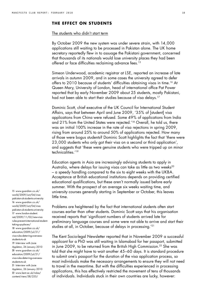#### **THE EFFECT ON STUDENTS**

#### The students who didn't start term

By October 2009 the new system was under severe strain, with 14,000 applications still waiting to be processed in Pakistan alone. The UK home secretary reportedly flew in to assuage the Pakistani government, concerned that thousands of its nationals would lose university places they had been offered or face difficulties reclaiming advance fees.<sup>15</sup>

Simeon Underwood, academic registrar at LSE, reported an increase of late arrivals in autumn 2009, and in some cases the university agreed to defer offers to 2010 because of students' difficulties obtaining visas in time.<sup>16</sup> At Queen Mary, University of London, head of international office Pat Power reported that by early November 2009 about 25 students, mostly Pakistani, had not been able to start their studies because of visa delays.<sup>17</sup>

Dominic Scott, chief executive of the UK Council for International Student Affairs, says that between April and June 2009, '35% of [student] visa applications from China were refused. Some 49% of applications from India and 21% from the United States were rejected.'18 Overall, he told us, there was an initial 100% increase in the rate of visa rejections in spring 2009, rising from around 25% to around 50% of applications rejected. How many of those were bogus students? Dominic Scott highlights the fact that 'there were 23,000 students who only got their visa on a second or third application', and suggests that 'these were genuine students who were tripped up on minor technicalities.'19

Education agents in Asia are increasingly advising students to apply in Australia, where delays for issuing visas can take as little as two weeks<sup>20</sup> – a speedy handling compared to the six to eight weeks with the UKBA. Acceptance at British educational institutions depends on providing certified educational qualifications, but these aren't normally issued before early summer. With the prospect of an average six weeks waiting time, and university courses generally starting in September or October, this leaves little time.

Problems are heightened by the fact that international students often start courses earlier than other students. Dominic Scott says that his organisation received reports that 'significant numbers of students arrived late for preliminary language courses and some were not able to arrive and start their studies at all, in October, because of delays in processing.'21

The Kent Socio-legal Newsletter reported that in November 2009 a successful applicant for a PhD was still waiting in Islamabad for her passport, submitted in June 2009, to be returned from the British High Commission.<sup>22</sup> She was told that she might have to wait another 45–60 days. It is standard procedure to submit one's passport for the duration of the visa application process, so most individuals make the necessary arrangements to ensure they will not need to travel in the meantime. But with the difficulties experienced in processing applications, this has effectively restricted the movement of tens of thousands of individuals. Individuals stuck in their own countries are lucky, however:

15 www.guardian.co.uk/ world/2009/oct/04/visapakistan-uk-students-university 16 www.guardian.co.uk/ world/2009/oct/04/visapakistan-uk-students-university 17 www.london-student. net/2009/11/02/new-visarules-prevent-international-studenttaking-up-places/ 18 www.guardian.co.uk/ education/2009/jul/21/ visa-rules-deterring-overseasstudents-to-uk 19 Interview with Josie Appleton, 26 January 2010 20 www.guardian.co.uk/ education/2009/jul/21/ visa-rules-deterring-overseasstudents-to-uk 21 Interview with Josie Appleton, 26 January 2010 22 www.kent.ac.uk/nslsa/

content/view/58/255/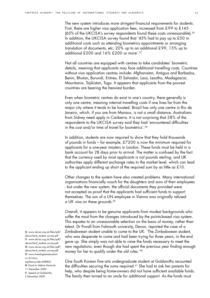The new system introduces more stringent financial requirements for students. First, there are higher visa application fees, increased from £99 to £145 (65% of the UKCISA's survey respondents found these costs unreasonable).36 In addition, the UKCISA survey found that '43% had to pay up to £50 in additional costs such as attending biometrics appointments or arranging translation of documents, etc; 20% up to an additional £99, 15% up to additional £200 and 16% £200 or more'.37

Not all countries are equipped with centres to take candidates' biometric details, meaning that applicants may face additional travelling costs. Countries without visa application centres include: Afghanistan, Antigua and Barbados, Benin, Bhutan, Burundi, Eritrea, El Salvador, Laos, Lesotho, Madagascar, Mauritania, Tajikistan, Togo. It appears that applicants from the poorest countries are bearing the heaviest burden.

Even when biometric centres do exist in one's country, there generally is only one centre, meaning internal travelling costs if one lives far from the major city where it tends to be located. Brazil has only one centre in Rio de Janeiro, which, if you are from Manaus, is not a small distance. Australians from Sidney need apply in Canberra. It is not surprising that 38% of the respondents to the UKCISA survey said they had 'encountered difficulties in the cost and/or time of travel for biometrics'.38

In addition, students are now required to show that they hold thousands of pounds in funds – for example, £7200 is now the minimum required for applicants for a one-year masters in London. These funds must be held in a bank account for 28 days prior to arrival. The matter is confused by the fact that the currency used by most applicants is not pounds sterling, and UK authorities apply different exchange rates to the market level, which can lead to the applicant ending up short of the required sum by as little as £10.

Other changes to the system have also created problems. Many international organisations financially vouch for the daughters and sons of their employees - but under the new system, the official documents they provided were not accepted as proof that the applicants had sufficient funds to support themselves. The son of a UN employee in Vienna was originally refused a UK visa on these grounds.39

Overall, it appears to be genuine applicants from modest backgrounds who suffer the most from the changes introduced by the points-based visa system. This equates to an unreasonable selection on the basis of money, rather than talent. Dr Povall from Falmouth university, Devon, reported the case of a Zimbabwean student unable to come to the UK: 'The Zimbabwean student, who was desperate to come and had been trying for three years, in the end gave up. She simply was not able to raise the funds necessary to meet the new regulations, even though she had spent the previous year finding enough money for her to qualify under the old rules.<sup>'40</sup>

about/tier4\_student\_survey.pdf 37 www.ukcisa.org.uk/files/pdf/ about/tier4\_student\_survey.pdf 38 www.ukcisa.org.uk/files/pdf/ about/tier4\_student\_survey.pdf 39 www.timeshighereducation. co.uk/story. asp?storycode=408832 40 Email to Valérie Hartwich, 11 December 2009 41 Speech at Goldsmiths,

36 www.ukcisa.org.uk/files/pdf/

2 December 2009

One South Korean fine arts undergraduate student at Goldsmiths recounted the difficulties securing the sums required.<sup>41</sup> She had to ask her parents for help, who despite being home-owners did not have sufficient available funds. The family then turned to an uncle for additional support. As the funds must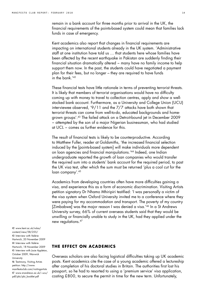remain in a bank account for three months prior to arrival in the UK, the financial requirements of the points-based system could mean that families lack funds in case of emergency.

Kent academics also report that changes in financial requirements are impacting on international students already in the UK system. 'Administrative staff at one institution have told us … that students here whose families have been affected by the recent earthquake in Pakistan are suddenly finding their financial situation dramatically altered − many have no family income to help support them now. In the past, the students could have negotiated a payment plan for their fees, but no longer – they are required to have funds in the bank.'42

These financial tests have little rationale in terms of preventing terrorist threats. It is likely that members of terrorist organisations would have no difficulty coming up with money to travel to collection centres, apply and show a wellstocked bank account. Furthermore, as a University and College Union (UCU) interviewee observed, '9/11 and the 7/7 attacks have both shown that terrorist threats can come from well-to-do, educated backgrounds and homegrown groups'.43 The failed attack on a Detroit-bound jet in December 2009 − attempted by the son of a major Nigerian businessman, who had studied at UCL − comes as further evidence for this.

The result of financial tests is likely to be counterproductive. According to Matthew Fuller, reader at Goldsmiths, 'the increased financial selection induced by the [points-based system] will make individuals more dependent on loan agencies and financial manipulations.'44 Indeed, one Indian undergraduate reported the growth of loan companies who would transfer the required sum into a students' bank account for the required period, to past the UK visa test, after which the sum must be returned 'plus a cool cut for the loan company'.45

Academics from developing countries often have more difficulties gaining a visa, and experience this as a form of economic discrimination. Visiting Artists petition signatory Dr Nhamo Mhiripiri testified: 'I was personally a victim of the visa system when Oxford University invited me to a conference where they were paying for my accommodation and transport. The poverty of my country [Zimbabwe] was the major reason I was denied a visa.'46 In a St Andrews University survey, 66% of current overseas students said that they would be unwilling or financially unable to study in the UK, had they applied under the new regulations.47

42 www.kent.ac.uk/nslsa/ content/view/58/255/ 43 Interview with Valérie Hartwich, 20 November 2009 44 Interview with Valérie Hartwich, 18 November 2009 45 Interview with Josie Appleton, October 2009, Warwick **University** 46 Testimony, Visiting Artists petition: http://www. manifestoclub.com/visitingartists 47 www.st-andrews.ac.uk/~ucu/ pdf/pbi/pbi\_booklet.pdf

#### **THE EFFECT ON ACADEMICS**

Overseas scholars are also facing logistical difficulties taking up UK academic posts. Kent academics cite the case of a young academic offered a lectureship after completion of his doctoral studies in Britain. The authorities first lost his passport, so he had to resorted to using a 'premium service' visa application, costing £800, to secure the permit in time for the new term. Unfortunately,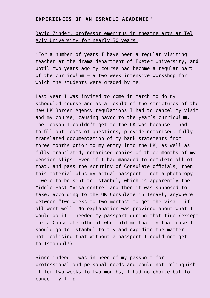#### **Experiences of an Israeli Academic**<sup>52</sup>

David Zinder, professor emeritus in theatre arts at Tel Aviv University for nearly 30 years.

'For a number of years I have been a regular visiting teacher at the drama department of Exeter University, and until two years ago my course had become a regular part of the curriculum – a two week intensive workshop for which the students were graded by me.

Last year I was invited to come in March to do my scheduled course and as a result of the strictures of the new UK Border Agency regulations I had to cancel my visit and my course, causing havoc to the year's curriculum. The reason I couldn't get to the UK was because I had to fill out reams of questions, provide notarised, fully translated documentation of my bank statements from three months prior to my entry into the UK, as well as fully translated, notarised copies of three months of my pension slips. Even if I had managed to complete all of that, and pass the scrutiny of Consulate officials, then this material plus my actual passport – not a photocopy – were to be sent to Istanbul, which is apparently the Middle East "visa centre" and then it was supposed to take, according to the UK Consulate in Israel, anywhere between "two weeks to two months" to get the visa  $-$  if all went well. No explanation was provided about what I would do if I needed my passport during that time (except for a Consulate official who told me that in that case I should go to Istanbul to try and expedite the matter – not realising that without a passport I could not get to Istanbul!).

Since indeed I was in need of my passport for professional and personal needs and could not relinquish it for two weeks to two months, I had no choice but to cancel my trip.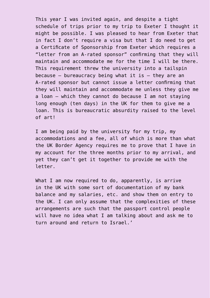This year I was invited again, and despite a tight schedule of trips prior to my trip to Exeter I thought it might be possible. I was pleased to hear from Exeter that in fact I don't require a visa but that I do need to get a Certificate of Sponsorship from Exeter which requires a "letter from an A-rated sponsor" confirming that they will maintain and accommodate me for the time I will be there. This requirement threw the university into a tailspin because  $-$  bureaucracy being what it is  $-$  they are an A-rated sponsor but cannot issue a letter confirming that they will maintain and accommodate me unless they give me a loan – which they cannot do because I am not staying long enough (ten days) in the UK for them to give me a loan. This is bureaucratic absurdity raised to the level of art!

I am being paid by the university for my trip, my accommodations and a fee, all of which is more than what the UK Border Agency requires me to prove that I have in my account for the three months prior to my arrival, and yet they can't get it together to provide me with the letter.

What I am now required to do, apparently, is arrive in the UK with some sort of documentation of my bank balance and my salaries, etc. and show them on entry to the UK. I can only assume that the complexities of these arrangements are such that the passport control people will have no idea what I am talking about and ask me to turn around and return to Israel.'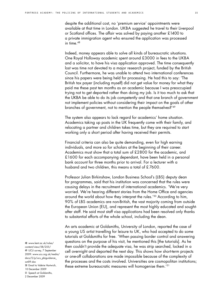despite the additional cost, no 'premium service' appointments were available at that time in London. UKBA suggested he travel to their Liverpool or Scotland offices. The affair was solved by paying another £1400 to a private immigration agent who ensured the application was processed in time.<sup>48</sup>

Indeed, money appears able to solve all kinds of bureaucratic situations. One Royal Holloway academic spent around £3000 in fees to the UKBA and a solicitor, to have his visa application approved. The time consequently lost was time not devoted to a major research project, funded by the British Council. Furthermore, he was unable to attend two international conferences since his papers were being held for processing. He had this to say: 'The British tax payer (including myself) did not get value for money for what they paid me these past ten months as an academic because I was preoccupied trying not to get deported rather than doing my job. Is it too much to ask that the UKBA be able to do its job competently and that one branch of government not implement policies without considering their impact on the goals of other branches of government, not to mention the people themselves?'49

The system also appears to lack regard for academics' home situation. Academics taking up posts in the UK frequently come with their family, and relocating a partner and children takes time, but they are required to start working only a short period after having received their permits.

Financial criteria can also be quite demanding, even for high earning individuals, and more so for scholars at the beginning of their career. Academics must show that a total sum of £2800 for the academic, and £1600 for each accompanying dependant, have been held in a personal bank account for three months prior to arrival. For a lecturer with a husband and two children, this means a total of £ 7600.

Professor Julian Birkinshaw, London Business School's (LBS) deputy dean for programmes, said that his institution was concerned that the rules were causing delays in the recruitment of international academics. 'We're very worried. We're hearing different stories from the Home Office and agencies around the world about how they interpret the rules.'50 According to him, 90% of LBS academics are non-British, the vast majority coming from outside the European Union (EU), and represent the most highly educated and soughtafter staff. He said most staff visa applications had been resolved only thanks to substantial efforts of the whole school, including the dean.

An arts academic at Goldsmiths, University of London, reported the case of a young US artist travelling for leisure to UK, who had accepted to do some tutorials at Goldsmiths for free. 'When passing border control and answering questions on the purpose of his visit, he mentioned this [the tutorials]. As he then couldn't provide the adequate visa, he was strip searched, locked in a cell overnight and deported the next day. This shows how short-term projects or one-off collaborations are made impossible because of the complexity of the processes and the costs involved. Universities are cosmopolitan institutions; these extreme bureaucratic measures will homogenise them.'51

48 www.kent.ac.uk/nslsa/ content/view/58/255/ 49 UCU survey, 7 September 2009: www.ucu.org.uk/media/ docs/5/p/ucu\_pbiguidance\_ oct09.doc 50 Email to Valérie Hartwich, 10 December 2009 51 Speech at Goldsmiths, 2 December 2009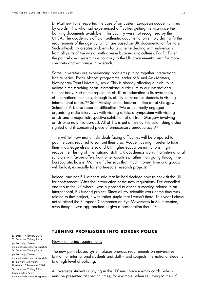Dr Matthew Fuller reported the case of an Eastern European academic hired by Goldsmiths, who had experienced difficulties getting his visa since the banking documents available in his country were not recognised by the UKBA. The academic's official, authentic documentation simply did not fit the requirements of the agency, which are based on UK documentation formats. Such inflexibility creates problems for a scheme dealing with individuals from all parts of the world, with diverse bureaucratic cultures. For Dr Fuller, the points-based system runs contrary to the UK government's push for more creativity and exchange in research.

Some universities are experiencing problems putting together international lecture series. Frank Abbott, programme leader of Visual Arts Masters, Nottingham Trent University, says: 'This is already affecting our ability to maintain the teaching of an international curriculum to our international student body. Part of the reputation of UK art education is its awareness of international contexts, through its ability to introduce students to visiting international artists.'53 Sam Ainsley, senior lecturer in fine art at Glasgow School of Art, also reported difficulties: 'We are currently engaged in organising radio interviews with visiting artists, a symposium with visiting artists and a major retrospective exhibition of art from Glasgow involving artists who now live abroad. All of this is put at risk by this astonishingly short sighted and ill conceived piece of unnecessary bureaucracy'.<sup>54</sup>

Time will tell how many individuals facing difficulties will be prepared to pay the costs required to sort out their visa. Academics might prefer to take their knowledge elsewhere, and UK higher education institutions might reduce their hiring of international staff. UK academics worry that international scholars will favour offers from other countries, rather than going through the bureaucratic hassle. Matthew Fuller says that 'much money, time and goodwill will be lost, especially for shorter-scale research projects'. <sup>55</sup>

Indeed, one non-EU scientist said that he had decided now to not visit the UK for conferences: 'After the introduction of the new regulations, I've cancelled one trip to the UK where I was supposed to attend a meeting related to an international, EU-funded project. Since all my scientific work at the time was related to that project, it was rather stupid that I wasn't there. This year I chose not to attend the European Conference on Eye Movements in Southampton, even though I was approached to give a presentation there.<sup>'56</sup>

#### **TURNING PROFESSORS INTO BORDER POLICE**

#### New monitoring requirements

The new points-based system places onerous requirements on universities to monitor international students and staff – and subjects international students to a high level of policing.

All overseas students studying in the UK must have identity cards, which must be presented at specific times, for example, when returning to the UK

52 Email, 17 January 2010 53 Testimony, Visiting Artists petition: http://www. manifestoclub.com/visitingartists 54 Testimony, Visiting Artists petition: http://www. manifestoclub.com/visitingartists 55 Interview with Valérie Hartwich, 18 November 2009 56 Testimony, Visiting Artists Petition: http://www. manifestoclub.com/visitingartists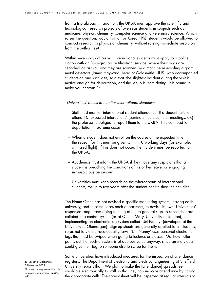from a trip abroad. In addition, the UKBA must approve the scientific and technological research projects of overseas students in subjects such as medicine, physics, chemistry, computer science and veterinary science. Which raises the question: would Iranian or Korean PhD students would be allowed to conduct research in physics or chemistry, without raising immediate suspicion from the authorities?

Within seven days of arrival, international students must apply to a police station with an 'immigration certification' service, where their bags are searched on arrival, and they are scanned by a machine resembling airport metal detectors. James Hayward, head of Goldsmiths NUS, who accompanied students on one such visit, said that 'the slightest incident during the visit is motive enough for deportation, and the set-up is intimidating. It is bound to make you nervous.'57

*Universities' duties to monitor international students*<sup>58</sup>

- Staff must monitor international student attendance. If a student fails to attend 10 'expected interactions' (seminars, lectures, tutor meetings, etc), the professor is obliged to report them to the UKBA. This can lead to deportation in extreme cases.
- When a student does not enroll on the course at the expected time, the reason for this must be given within 10 working days (for example, a missed flight). If this does not occur, the incident must be reported to the UKBA.
- Academics must inform the UKBA if they have any suspicions that a student is breaching the conditions of his or her leave, or engaging in 'suspicious behaviour'.
- Universities must keep records on the whereabouts of international students, for up to two years after the student has finished their studies.

The Home Office has not devised a specific monitoring system, leaving each university, and in some cases each department, to devise its own. Universities' responses range from doing nothing at all, to general sign-up sheets that are collated in a central system (as at Queen Mary, University of London), to implementing an electronic tag system called 'Uni-Nanny' (developed at the University of Glamorgan). Sign-up sheets are generally applied to all students, so as not to violate race equality laws. 'Uni-Nanny' uses personal electronic tags that must be swiped when going to lectures or classes. Matthew Fuller points out that such a system is of dubious value anyway, since an individual could give their tag to someone else to swipe for them.

Some universities have introduced measures for the inspection of attendance registers. The Department of Electronic and Electrical Engineering at Sheffield University reports that: 'We plan to make the [attendance] spreadsheet available electronically to staff so that they can indicate attendance by ticking the appropriate cells. The spreadsheet will be inspected at regular intervals to

57 Speech at Goldsmiths, 2 December 2009 58 www.ucu.org.uk/media/pdf/ k/g/pbs\_seminarreport\_apr09. pdf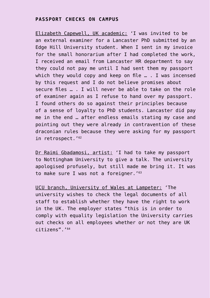#### **Passport checks on campus**

Elizabeth Capewell, UK academic: 'I was invited to be an external examiner for a Lancaster PhD submitted by an Edge Hill University student. When I sent in my invoice for the small honorarium after I had completed the work, I received an email from Lancaster HR department to say they could not pay me until I had sent them my passport which they would copy and keep on file … . I was incensed by this request and I do not believe promises about secure files … . I will never be able to take on the role of examiner again as I refuse to hand over my passport. I found others do so against their principles because of a sense of loyalty to PhD students. Lancaster did pay me in the end … after endless emails stating my case and pointing out they were already in contravention of these draconian rules because they were asking for my passport in retrospect.'62

Dr Raimi Gbadamosi, artist: 'I had to take my passport to Nottingham University to give a talk. The university apologised profusely, but still made me bring it. It was to make sure I was not a foreigner.'63

UCU branch, University of Wales at Lampeter: 'The university wishes to check the legal documents of all staff to establish whether they have the right to work in the UK. The employer states "this is in order to comply with equality legislation the University carries out checks on all employees whether or not they are UK citizens".'64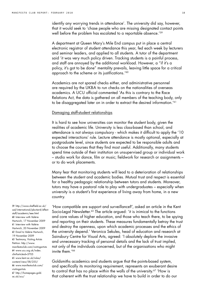identify any worrying trends in attendance'. The university did say, however, that it would seek to 'chase people who are missing designated contact points well before the problem has escalated to a reportable absence.<sup>'59</sup>

A department at Queen Mary's Mile End campus put in place a central electronic registrar of student attendance this year, fed each week by lecturers and seminar leaders, and applied to all students. A tutor of the department said 'it was very much policy driven. Tracking students is a painful process, and staff are annoyed by the additional workload. However, a "if it's a policy, it's got to be done" mentality prevails, leaving little space for a critical approach to the scheme or its justifications.'60

Academics are not spared checks either, and administrative personnel are required by the UKBA to run checks on the nationalities of overseas academics. A UCU official commented 'As this is contrary to the Race Relations Act, the data is gathered on all members of the teaching body, only to be disaggregated later on in order to extract the desired information.<sup>'61</sup>

#### Damaging staff-student relationships

It is hard to see how universities can monitor the student body, given the realities of academic life. University is less class-based than school, and attendance is not always compulsory - which makes it difficult to apply the '10 expected interactions' rule. Lecture attendance is mostly optional, especially at postgraduate level, since students are expected to be responsible adults and to choose the courses that they find most useful. Additionally, many students spend time outside of their institution on unsupervised group or individual work – studio work for dance, film or music; fieldwork for research or assignments – or to do work placements.

Many fear that monitoring students will lead to a deterioration of relationships between the student and academic bodies. Mutual trust and respect is essential for a healthy pedagogic relationship between tutors and students. Moreover, tutors may have a pastoral role to play with undergraduates – especially when university is a student's first experience of living away from home, in a new country.

'How compatible are support and surveillance?', asked an article in the Kent Socio-Legal Newsletter.<sup>65</sup> The article argued: 'it is inimical to the functions and core values of higher education, and those who teach there, to be spying and reporting on their students. These measures fundamentally betray the trust and destroy the openness, upon which academic processes and the ethics of the university depend.' Veronica Sekules, head of education and research at Sainsbury Centre for Visual Arts, agreed: 'I absolutely deplore the invasive and unnecessary tracking of personal details and the lack of trust implied, not only of the individuals concerned, but of the organisations who might invite them.<sup>'66</sup>

Goldsmiths academics and students argue that the points-based system, and specifically its monitoring requirement, represents an exuberant desire to control that has no place within the walls of the university.<sup>67</sup> 'How is that coherent with the trust relationship we have to build in order to do our

59 http://www.sheffield.ac.uk/ ssd/international/pbs-tier4/affectstaff/academic/eee.html 60 Interview with Valérie Hartwich, 17 November 2009 61 Interview with Valérie Hartwich, 20 November 2009 62 Email to Valérie Hartwich, 19 November 2009 63 Testimony, Visiting Artists Petition: http://www. manifestoclub.com/visitingartists 64 www.ucu.org.uk/index. cfm?articleid=3705 65 www.kent.ac.uk/nslsa/ content/view/58/255/ 66 www.manifestoclub.com/ visitingartists 67 http://homepages.gold. ac.uk/ucu/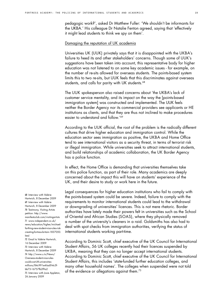pedagogic work?', asked Dr Matthew Fuller: 'We shouldn't be informants for the UKBA.' His colleague Dr Natalie Fenton agreed, saying that 'effectively it might lead students to think we spy on them'.

#### Damaging the reputation of UK academia

Universities UK (UUK) privately says that it is disappointed with the UKBA's failure to heed its and other stakeholders' concerns. Though some of UUK's suggestions have been taken into account, this representative body for higher education was not listened to on some key academic issues - for example, on the number of re-sits allowed for overseas students. The points-based system limits this to two re-sits, but UUK feels that this discriminates against overseas students, and calls for parity with UK students.<sup>68</sup>

The UUK spokesperson also raised concerns about 'the UKBA's lack of customer service mentality, and its impact on the way the [points-based immigration system] was constructed and implemented. The UUK feels neither the Border Agency nor its commercial providers see applicants or HE institutions as clients, and that they are thus not inclined to make procedures easier to understand and follow.'69

According to the UUK official, the root of the problem is the radically different cultures that drive higher education and immigration control. While the education sector sees immigration as positive, the UKBA and Home Office tend to see international visitors as a security threat, in terms of terrorist risk or illegal immigration. While universities seek to attract international students, and build relationships of academic collaboration, the UK Border Agency has a police function.

In effect, the Home Office is demanding that universities themselves take on this police function, as part of their role. Many academics are deeply concerned about the impact this will have on students' experience of the UK, and their desire to study or work here in the future.

Legal consequences for higher education institutions who fail to comply with the points-based system could be severe. Indeed, failure to comply with the requirements to monitor international students could lead to the withdrawal or downgrading of universities' licences. This is not mere rhetoric. Border authorities have lately made their powers felt in universities such as the School of Oriental and African Studies (SOAS), where they physically removed a number of the university's cleaners in a raid. Goldsmiths has also had to deal with spot checks from immigration authorities, verifying the status of international students working part-time.

According to Dominic Scott, chief executive of the UK Council for International Student Affairs, 56 UK colleges recently had their licences suspended by UKBA, meaning that they can no longer accept international students. According to Dominic Scott, chief executive of the UK Council for International Student Affairs, this includes 'state-funded further education colleges, and many other household names'. The colleges when suspended were not told of the evidence or allegations against them.75

68 Interview with Valérie Hartwich, 8 December 2009 69 Interview with Valérie Hartwich, 8 December 2009 70 Testimony, Visiting Artists petition: http://www. manifestoclub.com/visitingartists 71 www.independent.co.uk/ news/education/higher/michaelfarthing-new-student-visa-rules-riskcreating-fortress-britain-1837050. html

72 Email to Valérie Hartwich, 16 December 2009 73 Interview with Valérie Hartwich, 8 December 2009 74 http://www.u.tv/News/ Overseas-student-visa-rulescould-cost-UK-universitiesmillions/84c991e4-ba0f-4c5fbb73-16757fb2f9a2 75 Interview with Josie Appleton, 26 January 2009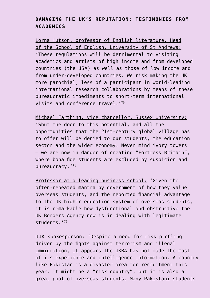#### **Damaging the UK's reputation: testimonies from academics**

Lorna Hutson, professor of English literature, Head of the School of English, University of St Andrews: 'These regulations will be detrimental to visiting academics and artists of high income and from developed countries (the USA) as well as those of low income and from under-developed countries. We risk making the UK more parochial, less of a participant in world-leading international research collaborations by means of these bureaucratic impediments to short-term international visits and conference travel.'70

Michael Farthing, vice chancellor, Sussex University: 'Shut the door to this potential, and all the opportunities that the 21st-century global village has to offer will be denied to our students, the education sector and the wider economy. Never mind ivory towers – we are now in danger of creating "Fortress Britain", where bona fide students are excluded by suspicion and bureaucracy.'71

Professor at a leading business school: 'Given the often-repeated mantra by government of how they value overseas students, and the reported financial advantage to the UK higher education system of overseas students, it is remarkable how dysfunctional and obstructive the UK Borders Agency now is in dealing with legitimate students.'72

UUK spokesperson: 'Despite a need for risk profiling driven by the fights against terrorism and illegal immigration, it appears the UKBA has not made the most of its experience and intelligence information. A country like Pakistan is a disaster area for recruitment this year. It might be a "risk country", but it is also a great pool of overseas students. Many Pakistani students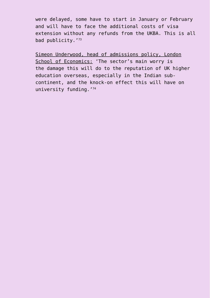were delayed, some have to start in January or February and will have to face the additional costs of visa extension without any refunds from the UKBA. This is all bad publicity.'73

Simeon Underwood, head of admissions policy, London School of Economics: 'The sector's main worry is the damage this will do to the reputation of UK higher education overseas, especially in the Indian subcontinent, and the knock-on effect this will have on university funding.'74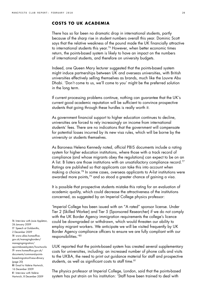#### **COSTS TO UK ACADEMIA**

There has so far been no dramatic drop in international students, partly because of the sharp rise in student numbers overall this year. Dominic Scott says that the relative weakness of the pound made the UK financially attractive to international students this year.<sup>76</sup> However, when better economic times return, the points-based system is likely to have an impact on the numbers of international students, and therefore on university budgets.

Indeed, one Queen Mary lecturer suggested that the points-based system might induce partnerships between UK and overseas universities, with British universities effectively selling themselves as brands, much like the Louvre Abu Dhabi. 'Don't come to us, we'll come to you' might be the preferred solution in the long term.

If current processing problems continue, nothing can guarantee that the UK's current good academic reputation will be sufficient to convince prospective students that going through these hurdles is really worth it.

As government financial support to higher education continues to decline, universities are forced to rely increasingly on income from international students' fees. There are no indications that the government will compensate for potential losses incurred by its new visa rules, which will be borne by the university or students themselves.

As Baroness Helena Kennedy noted, official PBIS documents include a rating system for higher education institutions, where those with a track record of compliance (and whose migrants obey the regulations) can expect to be on an A list. B listers are those institutions with an unsatisfactory compliance record.<sup>77</sup> Ratings are published so that applicants can take this into account when making a choice.<sup>78</sup> In some cases, overseas applicants to A-list institutions were awarded more points,<sup>79</sup> and so stood a greater chance of gaining a visa.

It is possible that prospective students mistake this rating for an evaluation of academic quality, which could decrease the attractiveness of the institutions concerned, as suggested by an Imperial College physics professor:

'Imperial College has been issued with an "A rated" sponsor license. Under Tier 2 (Skilled Worker) and Tier 5 (Sponsored Researcher) if we do not comply with the UK Border Agency immigration requirements the college's licence could be downgraded or withdrawn, which would threaten our ability to employ migrant workers. We anticipate we will be visited frequently by UK Border Agency compliance officers to ensure we are fully compliant with our responsibilities.'80

UUK reported that the points-based system has created several supplementary costs for universities, including: an increased number of phone calls and visits to the UKBA, the need to print out guidance material for staff and prospective students, as well as significant costs to staff time.<sup>81</sup>

The physics professor at Imperial College, London, said that the points-based system has put strain on his institution: 'Staff have been trained to deal with

76 Interview with Josie Appleton, 26 January 2009 77 Speech at Goldsmiths, 2 December 2009 78 www.ukba.homeoffice gov.uk/managingborders/ managingmigration/ apointsbasedsystem/howitworks 79 www.homeoffice.gov.uk/ documents/command-pointsbased-migration?view=Binary (page 20) 80 Email to Valérie Hartwich, 16 December 2009 81 Interview with Valérie

Hartwich, 8 December 2009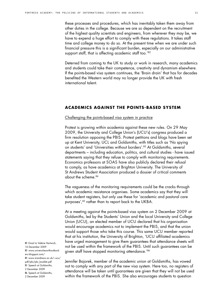these processes and procedures, which has inevitably taken them away from other duties in the college. Because we are so dependent on the recruitment of the highest quality scientists and engineers, from wherever they may be, we have to expend a huge effort to comply with these regulations. It takes staff time and college money to do so. At the present time when we are under such financial pressure this is a significant burden, especially on our administrative support staff, that is affecting academic staff too.<sup>'82</sup>

Deterred from coming to the UK to study or work in research, many academics and students could take their competence, creativity and dynamism elsewhere. If the points-based visa system continues, the 'Brain drain' that has for decades benefited the Western world may no longer provide the UK with fresh international talent.

#### **ACADEMICS AGAINST THE POINTS-BASED SYSTEM**

#### Challenging the points-based visa system in practice

Protest is growing within academia against these new rules. On 29 May 2009, the University and College Union's (UCU's) congress produced a firm resolution opposing the PBIS. Protest petitions and blogs have been set up at Kent University, UCL and Goldsmiths, with titles such as 'No spying on students' and 'Universities without borders'.<sup>83</sup> At Goldsmiths, several departments – including education, politics, and cultural studies - have issued statements saying that they refuse to comply with monitoring requirements. Economics professors at SOAS have also publicly declared their refusal to comply, as have academics at Brighton University. The University of St Andrews Student Association produced a dossier of critical comments about the scheme.84

The vagueness of the monitoring requirements could be the cracks through which academic resistance organises. Some academics say that they will take student registers, but only use these for 'academic and pastoral care purposes', 85 rather than to report back to the UKBA.

At a meeting against the points-based visa system on 2 December 2009 at Goldsmiths, led by the Students' Union and the local University and College Union (UCU), an elected member of UCU declared that his organisation would encourage academics not to implement the PBIS, and that the union would support those who take this course. This same UCU member reported that at his institution, the University of Brighton, 'UCU affiliated academics have urged management to give them guarantees that attendance sheets will not be used within the framework of the PBIS. Until such guarantees can be given staff have stopped monitoring attendance.'86

82 Email to Valérie Hartwich, 16 December 2009 83 www.universitieswithoutbord ers.blogspot.com/ 84 www.st-andrews.ac.uk/~ucu/ pdf/pbi/pbi\_booklet.pdf 85 Speech at Goldsmiths, 2 December 2009 86 Speech at Goldsmiths, 2 December 2009

Jennifer Bajorek, member of the academic union at Goldsmiths, has vowed not to comply with any part of the new visa system. Here too, no registers of attendance will be taken until guarantees are given that they will not be used within the framework of the PBIS. She also encourages students to question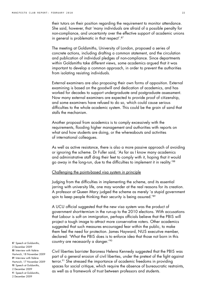their tutors on their position regarding the requirement to monitor attendance. She said, however, that 'many individuals are afraid of a possible penalty for non-compliance, and uncertainty over the effective support of academic unions in general is problematic in that respect'.87

The meeting at Goldsmiths, University of London, proposed a series of concrete actions, including drafting a common statement, and the circulation and publication of individual pledges of non-compliance. Since departments within Goldsmiths take different views, some academics argued that it was important to develop a common approach, in order to prevent the authorities from isolating resisting individuals.

External examiners are also proposing their own forms of opposition. External examining is based on the goodwill and dedication of academics, and has worked for decades to support undergraduate and postgraduate assessment. Now many external examiners are expected to provide proof of citizenship, and some examiners have refused to do so, which could cause serious difficulties to the whole academic system. This could be the grain of sand that stalls the mechanism.

Another proposal from academics is to comply excessively with the requirements, flooding higher management and authorities with reports on what and how students are doing, or the whereabouts and activities of international colleagues.

As well as active resistance, there is also a more passive approach of avoiding or ignoring the scheme. Dr Fuller said, 'As far as I know many academics and administrative staff drag their feet to comply with it, hoping that it would go away in the long-run, due to the difficulties to implement it in reality.'88

#### Challenging the points-based visa system in principle

Judging from the difficulties in implementing the scheme, and its essential jarring with university life, one may wonder at the real reasons for its creation. A professor at Queen Mary judged the scheme as merely 'a stupid government spin to keep people thinking their security is being assured.<sup>189</sup>

A UCU official suggested that the new visa system was the product of government short-termism in the run-up to the 2010 elections. With accusations that Labour is soft on immigration, perhaps officials believe that the PBIS will project a tough image to attract more conservative voters. Other academics suggested that such measures encouraged fear within the public, to make them feel the need for protection. James Hayward, NUS executive member, declared: 'What the PBIS does is to enforce idea that those not born in this country are necessarily a danger.'90

Civil liberties barrister Baroness Helena Kennedy suggested that the PBIS was part of a general erosion of civil liberties, under the pretext of the fight against terror.<sup>91</sup> She stressed the importance of academic freedoms in providing spaces for social critique, which require the absence of bureaucratic restraints, as well as a framework of trust between professors and students.

87 Speech at Goldsmiths, 2 December 2009 88 Interview with Valérie Hartwich, 18 November 2009 89 Interview with Valérie Hartwich, 17 November 2009 90 Speech at Goldsmiths, 2 December 2009 91 Speech at Goldsmiths, 2 December 2009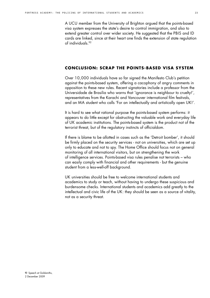A UCU member from the University of Brighton argued that the points-based visa system expresses the state's desire to control immigration, and also to extend greater control over wider society. He suggested that the PBIS and ID cards are linked, since at their heart one finds the extension of state regulation of individuals.92

#### **CONCLUSION: SCRAP THE POINTS-BASED VISA SYSTEM**

Over 10,000 individuals have so far signed the Manifesto Club's petition against the points-based system, offering a cacophony of angry comments in opposition to these new rules. Recent signatories include a professor from the Universidade de Brasilia who warns that 'ignorance is neighbour to cruelty!', representatives from the Karachi and Vancouver international film festivals, and an MA student who calls 'For an intellectually and artistically open UK!'.

It is hard to see what rational purpose the points-based system performs: it appears to do little except for obstructing the valuable work and everyday life of UK academic institutions. The points-based system is the product not of the terrorist threat, but of the regulatory instincts of officialdom.

If there is blame to be allotted in cases such as the 'Detroit bomber', it should be firmly placed on the security services - not on universities, which are set up only to educate and not to spy. The Home Office should focus not on general monitoring of all international visitors, but on strengthening the work of intelligence services. Points-based visa rules penalise not terrorists – who can easily comply with financial and other requirements - but the genuine student from a less-well-off background.

UK universities should be free to welcome international students and academics to study or teach, without having to undergo these suspicious and burdensome checks. International students and academics add greatly to the intellectual and civic life of the UK: they should be seen as a source of vitality, not as a security threat.